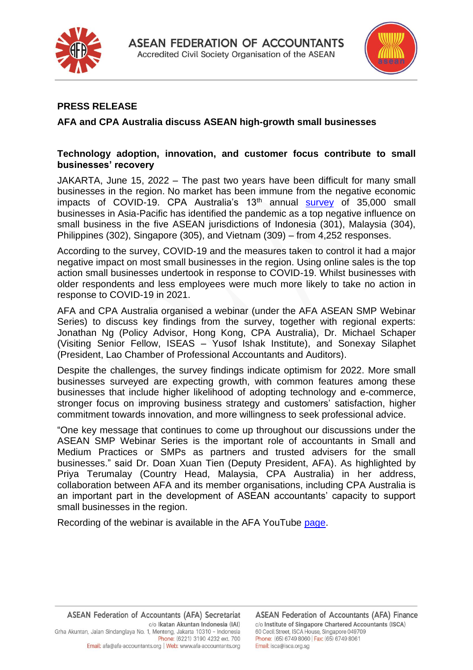



## **PRESS RELEASE**

### **AFA and CPA Australia discuss ASEAN high-growth small businesses**

#### **Technology adoption, innovation, and customer focus contribute to small businesses' recovery**

JAKARTA, June 15, 2022 – The past two years have been difficult for many small businesses in the region. No market has been immune from the negative economic impacts of COVID-19. CPA Australia's 13<sup>th</sup> annual [survey](https://www.cpaaustralia.com.au/tools-and-resources/business-management/small-business-resources/asia-pacific-small-business-survey) of 35,000 small businesses in Asia-Pacific has identified the pandemic as a top negative influence on small business in the five ASEAN jurisdictions of Indonesia (301), Malaysia (304), Philippines (302), Singapore (305), and Vietnam (309) – from 4,252 responses.

According to the survey, COVID-19 and the measures taken to control it had a major negative impact on most small businesses in the region. Using online sales is the top action small businesses undertook in response to COVID-19. Whilst businesses with older respondents and less employees were much more likely to take no action in response to COVID-19 in 2021.

AFA and CPA Australia organised a webinar (under the AFA ASEAN SMP Webinar Series) to discuss key findings from the survey, together with regional experts: Jonathan Ng (Policy Advisor, Hong Kong, CPA Australia), Dr. Michael Schaper (Visiting Senior Fellow, ISEAS – Yusof Ishak Institute), and Sonexay Silaphet (President, Lao Chamber of Professional Accountants and Auditors).

Despite the challenges, the survey findings indicate optimism for 2022. More small businesses surveyed are expecting growth, with common features among these businesses that include higher likelihood of adopting technology and e-commerce, stronger focus on improving business strategy and customers' satisfaction, higher commitment towards innovation, and more willingness to seek professional advice.

"One key message that continues to come up throughout our discussions under the ASEAN SMP Webinar Series is the important role of accountants in Small and Medium Practices or SMPs as partners and trusted advisers for the small businesses." said Dr. Doan Xuan Tien (Deputy President, AFA). As highlighted by Priya Terumalay (Country Head, Malaysia, CPA Australia) in her address, collaboration between AFA and its member organisations, including CPA Australia is an important part in the development of ASEAN accountants' capacity to support small businesses in the region.

Recording of the webinar is available in the AFA YouTube [page.](https://youtu.be/Vt63zHz9hro)